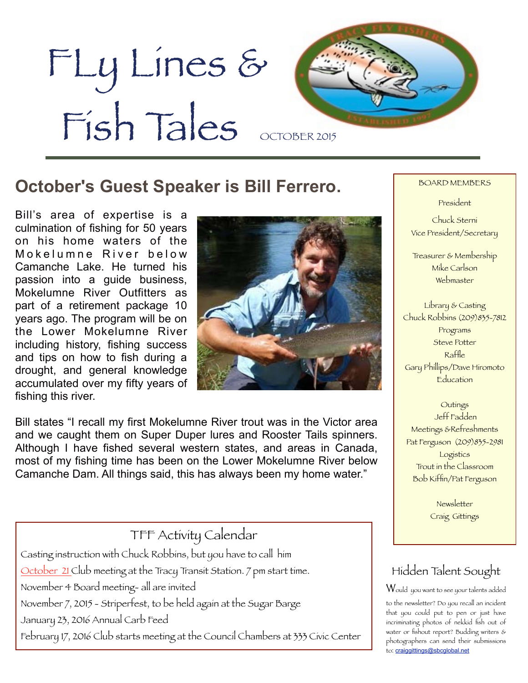

# **October's Guest Speaker is Bill Ferrero.**

 culmination of fishing for 50 years Bill's area of expertise is a on his home waters of the Mokelumne River below Camanche Lake. He turned his passion into a guide business, Mokelumne River Outfitters as part of a retirement package 10 years ago. The program will be on the Lower Mokelumne River including history, fishing success and tips on how to fish during a drought, and general knowledge accumulated over my fifty years of fishing this river.



Bill states "I recall my first Mokelumne River trout was in the Victor area and we caught them on Super Duper lures and Rooster Tails spinners. Although I have fished several western states, and areas in Canada, most of my fishing time has been on the Lower Mokelumne River below Camanche Dam. All things said, this has always been my home water."

# TFF Activity Calendar Casting instruction with Chuck Robbins, but you have to call him October 21 Club meeting at the Tracy Transit Station. 7 pm start time. November 4 Board meeting- all are invited November 7, 2015 - Striperfest, to be held again at the Sugar Barge January 23, 2016 Annual Carb Feed February 17, 2016 Club starts meeting at the Council Chambers at 333 Civic Center

#### BOARD MEMBERS

President

Chuck Sterni Vice President/Secretary

Treasurer & Membership Mike Carlson Webmaster

Library & Casting Chuck Robbins (209)835-7812 Programs Steve Potter Raffle Gary Phillips/Dave Hiromoto Education

**Outings**  Jeff Fadden Meetings &Refreshments Pat Ferguson (209)835-2981 Logistics Trout in the Classroom Bob Kiffin/Pat Ferguson

> Newsletter Craig Gittings

## Hidden Talent Sought

Would you want to see your talents added

to the newsletter? Do you recall an incident that you could put to pen or just have incriminating photos of nekkid fish out of water or fishout report? Budding writers & photographers can send their submissions to: [craiggittings@sbcglobal.net](mailto:craiggittings@sbcglobal.net)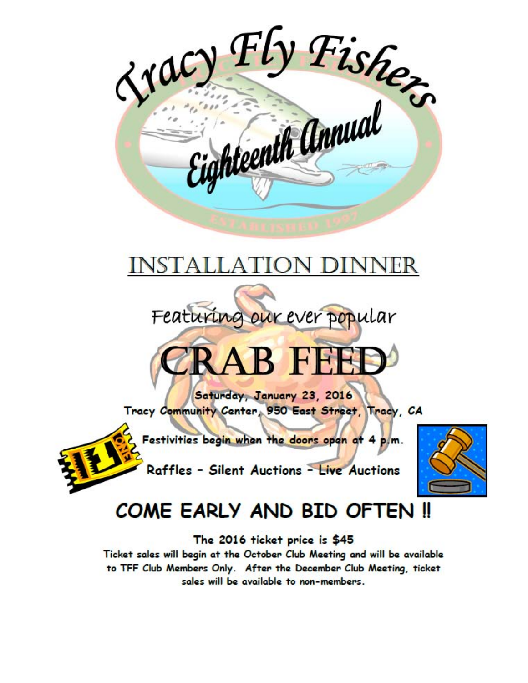

Featuring our ever popular

Saturday, January 23, 2016 Tracy Community Center, 950 East Street, Tracy, CA

Festivities begin when the doors open at 4 p.m.

Raffles - Silent Auctions - Live Auctions



# **COME EARLY AND BID OFTEN !!**

The 2016 ticket price is \$45

Ticket sales will begin at the October Club Meeting and will be available to TFF Club Members Only. After the December Club Meeting, ticket sales will be available to non-members.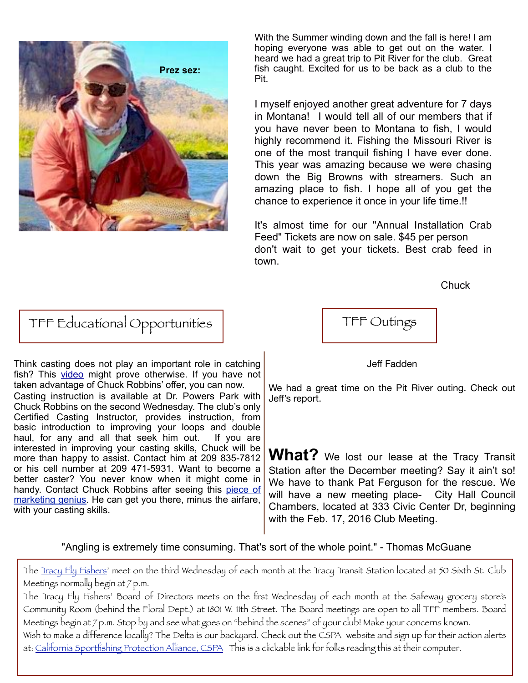

With the Summer winding down and the fall is here! I am hoping everyone was able to get out on the water. I heard we had a great trip to Pit River for the club. Great fish caught. Excited for us to be back as a club to the Pit.

I myself enjoyed another great adventure for 7 days in Montana! I would tell all of our members that if you have never been to Montana to fish, I would highly recommend it. Fishing the Missouri River is one of the most tranquil fishing I have ever done. This year was amazing because we were chasing down the Big Browns with streamers. Such an amazing place to fish. I hope all of you get the chance to experience it once in your life time.!!

It's almost time for our "Annual Installation Crab Feed" Tickets are now on sale. \$45 per person don't wait to get your tickets. Best crab feed in town.

**Chuck** 

TFF Educational Opportunities | TFF Outings

Think casting does not play an important role in catching fish? This [video](https://www.youtube.com/watch?v=OxfjVNfM1zs) might prove otherwise. If you have not taken advantage of Chuck Robbins' offer, you can now. Casting instruction is available at Dr. Powers Park with Chuck Robbins on the second Wednesday. The club's only Certified Casting Instructor, provides instruction, from basic introduction to improving your loops and double haul, for any and all that seek him out. If you are interested in improving your casting skills, Chuck will be more than happy to assist. Contact him at 209 835-7812 or his cell number at 209 471-5931. Want to become a better caster? You never know when it might come in [handy. Contact Chuck Robbins after seeing this piece of](https://www.youtube.com/watch?v=lwO3GQVAcwM) marketing genius. He can get you there, minus the airfare, with your casting skills.



### Jeff Fadden

We had a great time on the Pit River outing. Check out Jeff's report.

What? We lost our lease at the Tracy Transit Station after the December meeting? Say it ain't so! We have to thank Pat Ferguson for the rescue. We will have a new meeting place- City Hall Council Chambers, located at 333 Civic Center Dr, beginning with the Feb. 17, 2016 Club Meeting.

### "Angling is extremely time consuming. That's sort of the whole point." - Thomas McGuane

The [Tracy Fly Fishers](http://www.tracyflyfishers.org)' meet on the third Wednesday of each month at the Tracy Transit Station located at 50 Sixth St. Club Meetings normally begin at 7 p.m.

The Tracy Fly Fishers' Board of Directors meets on the first Wednesday of each month at the Safeway grocery store's Community Room (behind the Floral Dept.) at 1801 W. 11th Street. The Board meetings are open to all TFF members. Board Meetings begin at 7 p.m. Stop by and see what goes on "behind the scenes" of your club! Make your concerns known.

 Wish to make a difference locally? The Delta is our backyard. Check out the CSPA website and sign up for their action alerts at: [California Sportfishing Protection Alliance, CSPA](http://www.calsport.org/) This is a clickable link for folks reading this at their computer.